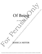# Of Being Of Being Changes of Changes of Changes Changes Changes and Changes of Changes Changes Changes and Changes Changes Changes Changes and Changes Changes Changes Changes Changes Changes Changes Changes Changes Changes Changes Of Being the state and the purchase of the state of the state of the state of the state of the state of the state of the state of the state of the state of the state of the state of the state of the state of the state of t

*for string quartet*

# JESSICA MEYER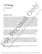## Of Being

*for string quartet*

### **PROGRAM NOTES**

Milan Kundera's novel "The Unbearable Lightness of Being" has been a book I have been wanting to read for quite some time, specifically because of the philosophical paradox it poses. Friedrich Nietzsche's concept of eternal return (or eternal recurrence) puts forth that everything in life happens an infinite number of times, causing the "heaviest of burdens". Conversely, a personal life in which everything happens only once loses its "weight" and significance—hence the "the unbearable lightness of being." Kundera encourages the reader to consider this duality through the actions of his characters and the comparisons between love and sex, loyalty and betrayal, self and community, lightness and weight, then ulitmately...fate and chance. Kundera also continuously refers to a motive Beethoven uses in his final string quartet as a sonic allegory for eternal recurrence ("Es muss sein" or "It Must Be"), and posits that musical motives in a composition can come and go like certain people in one's life. **Correlation**<br> **22'**<br> **22'EXACTS COREMATIVE CONFIDENTIAL CONTINUATION** IS a bound a show it has the set of the set of the set of the set of the set of the set of the set of the set of the set of the set of the set of th **M NOTES**<br>
Here a novel "The Unbearable Lightines of ERIP and show a book I have held<br>
here a society of the control return (or etcomal center mas book I have held<br>
book that of quite some of term is encoding to center of

In September of 2021, I was fortunate to have a month-long residency at the Ellis-Beauregard Foundation in Maine in order to conceive and write this piece. It gave me a lot of time to ponder these dualities, how they relate to each other, and explore how they are present in my own life. While reading the novel, five quotes stood out to me and each movement is inspired by a different one. Also like the novel, themes are interwoven throughout in a way that encourages us to question our own patterns and experiences.

As concert seasons are getting back to their usual robustness, it is clear what we have been missing during Covid time: the communal sharing of sounds and emotions, the energy that passes between the performers and the audience, and the affirmation of why we devote our lives to our craft. The work ends with everyone in the room making music together, reminding us how our selves exist in relation to those around us, while also allowing moments of fate and chance to unfurl in real time.

Many thanks to Chamber Music America, the Argus Quartet, the Ellis-Beauregard Foundation, and to my family - both chosen and related.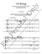

©2021 JMM Publishing (BMI). All rights reserved.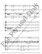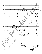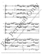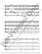





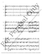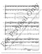

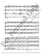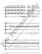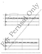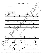### II. Unbearable Lightness

*"Her drama was a drama not of heaviness but of lightness. What fell to her lot was not the burden, but the unbearable lightness of being."*

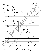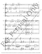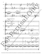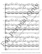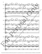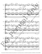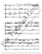



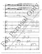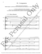### III. Compassion

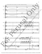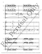

 $\overline{c}$   $\overline{c}$   $\overline{c}$   $\overline{c}$   $\overline{c}$   $\overline{c}$   $\overline{c}$   $\overline{c}$   $\overline{c}$   $\overline{c}$   $\overline{c}$   $\overline{c}$   $\overline{c}$   $\overline{c}$   $\overline{c}$   $\overline{c}$   $\overline{c}$   $\overline{c}$   $\overline{c}$   $\overline{c}$   $\overline{c}$   $\overline{c}$   $\overline{c}$   $\overline{c}$   $\overline{$ 

 $\begin{array}{ccccc}\n\bullet & \bullet & \bullet & \bullet & \bullet\n\end{array}$ 

 $\bullet$   $\bullet$   $\bullet$   $\bullet$ 

 $\overline{V}$ 

 $\Theta$ :  $\bullet$   $\bullet$   $\bullet$   $\bullet$   $\bullet$ 

 $R + C$ 

*ff*

Vla.

Vc.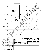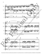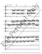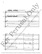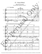

**For perusal only. Performance materials must be purchased via www.jessicameyermusic.com. Unauthorized reproduction or distribution is strictly prohibited.**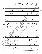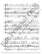![](_page_30_Figure_0.jpeg)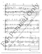![](_page_31_Figure_0.jpeg)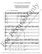### V. Es muss Sein (It Must Be)

*"The sadness meant: We are at the last station. The happiness meant: We are together. The sadness was form, the happiness content. Happiness filled the space of sadness."*

![](_page_32_Figure_2.jpeg)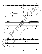![](_page_33_Figure_0.jpeg)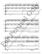![](_page_34_Figure_0.jpeg)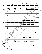![](_page_35_Figure_0.jpeg)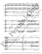![](_page_36_Figure_0.jpeg)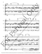![](_page_37_Figure_0.jpeg)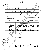![](_page_38_Figure_0.jpeg)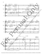![](_page_39_Figure_0.jpeg)

![](_page_39_Figure_1.jpeg)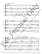![](_page_40_Figure_0.jpeg)

![](_page_40_Figure_1.jpeg)

![](_page_40_Figure_2.jpeg)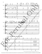![](_page_41_Figure_0.jpeg)